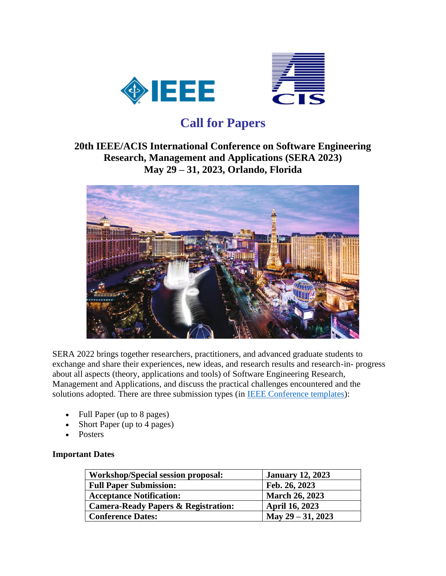



# **Call for Papers**

# **20th IEEE/ACIS International Conference on Software Engineering Research, Management and Applications (SERA 2023) May 29 – 31, 2023, Orlando, Florida**



SERA 2022 brings together researchers, practitioners, and advanced graduate students to exchange and share their experiences, new ideas, and research results and research-in- progress about all aspects (theory, applications and tools) of Software Engineering Research, Management and Applications, and discuss the practical challenges encountered and the solutions adopted. There are three submission types (in **IEEE Conference templates**):

- Full Paper (up to 8 pages)
- Short Paper (up to 4 pages)
- **Posters**

# **Important Dates**

| <b>Workshop/Special session proposal:</b>      | <b>January 12, 2023</b> |
|------------------------------------------------|-------------------------|
| <b>Full Paper Submission:</b>                  | Feb. 26, 2023           |
| <b>Acceptance Notification:</b>                | <b>March 26, 2023</b>   |
| <b>Camera-Ready Papers &amp; Registration:</b> | April 16, 2023          |
| <b>Conference Dates:</b>                       | May $29 - 31$ , 2023    |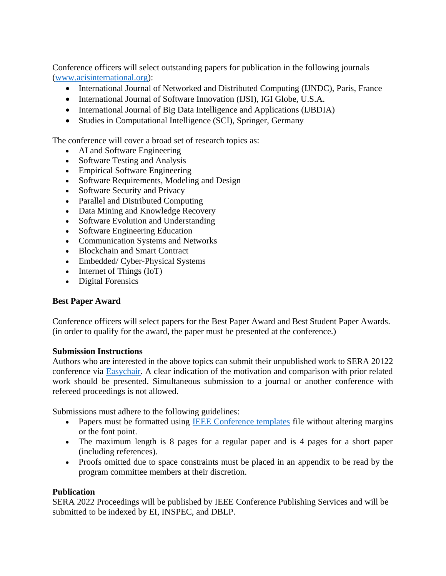Conference officers will select outstanding papers for publication in the following journals [\(www.acisinternational.org\)](http://www.acisinternational.org/):

- International Journal of Networked and Distributed Computing (IJNDC), Paris, France
- International Journal of Software Innovation (IJSI), IGI Globe, U.S.A.
- International Journal of Big Data Intelligence and Applications (IJBDIA)
- Studies in Computational Intelligence (SCI), Springer, Germany

The conference will cover a broad set of research topics as:

- AI and Software Engineering
- Software Testing and Analysis
- Empirical Software Engineering
- Software Requirements, Modeling and Design
- Software Security and Privacy
- Parallel and Distributed Computing
- Data Mining and Knowledge Recovery
- Software Evolution and Understanding
- Software Engineering Education
- Communication Systems and Networks
- Blockchain and Smart Contract
- Embedded/ Cyber-Physical Systems
- Internet of Things (IoT)
- Digital Forensics

#### **Best Paper Award**

Conference officers will select papers for the Best Paper Award and Best Student Paper Awards. (in order to qualify for the award, the paper must be presented at the conference.)

#### **Submission Instructions**

Authors who are interested in the above topics can submit their unpublished work to SERA 20122 conference via [Easychair.](https://easychair.org/conferences/?conf=sera2019) A clear indication of the motivation and comparison with prior related work should be presented. Simultaneous submission to a journal or another conference with refereed proceedings is not allowed.

Submissions must adhere to the following guidelines:

- Papers must be formatted using [IEEE Conference templates](https://www.ieee.org/conferences/publishing/templates.html) file without altering margins or the font point.
- The maximum length is 8 pages for a regular paper and is 4 pages for a short paper (including references).
- Proofs omitted due to space constraints must be placed in an appendix to be read by the program committee members at their discretion.

## **Publication**

SERA 2022 Proceedings will be published by IEEE Conference Publishing Services and will be submitted to be indexed by EI, INSPEC, and DBLP.